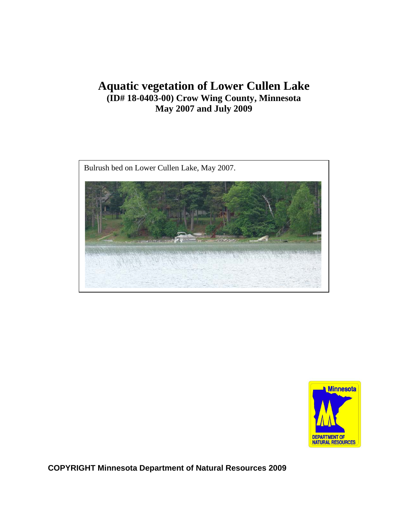## **Aquatic vegetation of Lower Cullen Lake (ID# 18-0403-00) Crow Wing County, Minnesota May 2007 and July 2009**





**COPYRIGHT Minnesota Department of Natural Resources 2009**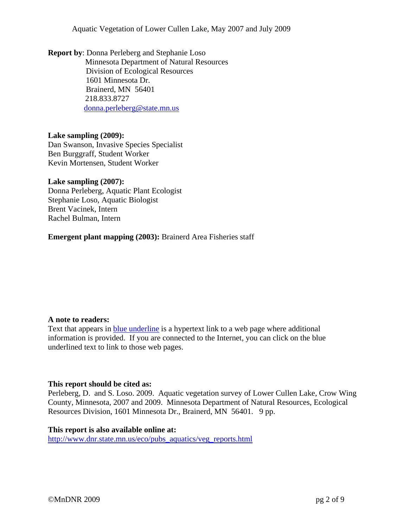Aquatic Vegetation of Lower Cullen Lake, May 2007 and July 2009

**Report by**: Donna Perleberg and Stephanie Loso Minnesota Department of Natural Resources Division of Ecological Resources 1601 Minnesota Dr. Brainerd, MN 56401 218.833.8727 [donna.perleberg@state.mn.us](mailto:donna.perleberg@state.mn.us)

#### **Lake sampling (2009):**

Dan Swanson, Invasive Species Specialist Ben Burggraff, Student Worker Kevin Mortensen, Student Worker

#### **Lake sampling (2007):**

Donna Perleberg, Aquatic Plant Ecologist Stephanie Loso, Aquatic Biologist Brent Vacinek, Intern Rachel Bulman, Intern

**Emergent plant mapping (2003):** Brainerd Area Fisheries staff

### **A note to readers:**

Text that appears in blue underline is a hypertext link to a web page where additional information is provided. If you are connected to the Internet, you can click on the blue underlined text to link to those web pages.

#### **This report should be cited as:**

Perleberg, D. and S. Loso. 2009. Aquatic vegetation survey of Lower Cullen Lake, Crow Wing County, Minnesota, 2007 and 2009. Minnesota Department of Natural Resources, Ecological Resources Division, 1601 Minnesota Dr., Brainerd, MN 56401. 9 pp.

#### **This report is also available online at:**

[http://www.dnr.state.mn.us/eco/pubs\\_aquatics/veg\\_reports.html](http://www.dnr.state.mn.us/eco/pubs_aquatics/veg_reports.html)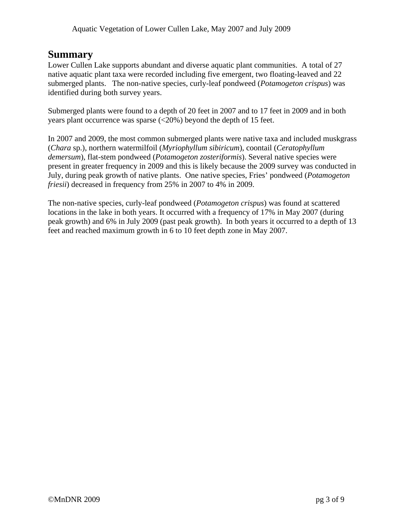## **Summary**

Lower Cullen Lake supports abundant and diverse aquatic plant communities. A total of 27 native aquatic plant taxa were recorded including five emergent, two floating-leaved and 22 submerged plants. The non-native species, curly-leaf pondweed (*Potamogeton crispus*) was identified during both survey years.

Submerged plants were found to a depth of 20 feet in 2007 and to 17 feet in 2009 and in both years plant occurrence was sparse (<20%) beyond the depth of 15 feet.

In 2007 and 2009, the most common submerged plants were native taxa and included muskgrass (*Chara* sp.), northern watermilfoil (*Myriophyllum sibiricum*), coontail (*Ceratophyllum demersum*), flat-stem pondweed (*Potamogeton zosteriformis*). Several native species were present in greater frequency in 2009 and this is likely because the 2009 survey was conducted in July, during peak growth of native plants. One native species, Fries' pondweed (*Potamogeton friesii*) decreased in frequency from 25% in 2007 to 4% in 2009.

The non-native species, curly-leaf pondweed (*Potamogeton crispus*) was found at scattered locations in the lake in both years. It occurred with a frequency of 17% in May 2007 (during peak growth) and 6% in July 2009 (past peak growth). In both years it occurred to a depth of 13 feet and reached maximum growth in 6 to 10 feet depth zone in May 2007.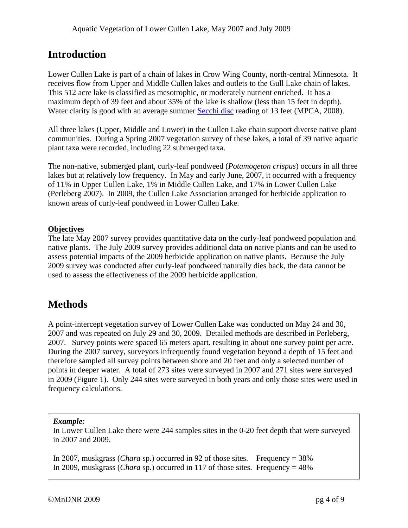## **Introduction**

Lower Cullen Lake is part of a chain of lakes in Crow Wing County, north-central Minnesota. It receives flow from Upper and Middle Cullen lakes and outlets to the Gull Lake chain of lakes. This 512 acre lake is classified as mesotrophic, or moderately nutrient enriched. It has a maximum depth of 39 feet and about 35% of the lake is shallow (less than 15 feet in depth). Water clarity is good with an average summer [Secchi disc](http://www.pca.state.mn.us/water/secchi-slideshow.html) reading of 13 feet (MPCA, 2008).

All three lakes (Upper, Middle and Lower) in the Cullen Lake chain support diverse native plant communities. During a Spring 2007 vegetation survey of these lakes, a total of 39 native aquatic plant taxa were recorded, including 22 submerged taxa.

The non-native, submerged plant, curly-leaf pondweed (*Potamogeton crispus*) occurs in all three lakes but at relatively low frequency. In May and early June, 2007, it occurred with a frequency of 11% in Upper Cullen Lake, 1% in Middle Cullen Lake, and 17% in Lower Cullen Lake (Perleberg 2007). In 2009, the Cullen Lake Association arranged for herbicide application to known areas of curly-leaf pondweed in Lower Cullen Lake.

### **Objectives**

The late May 2007 survey provides quantitative data on the curly-leaf pondweed population and native plants. The July 2009 survey provides additional data on native plants and can be used to assess potential impacts of the 2009 herbicide application on native plants. Because the July 2009 survey was conducted after curly-leaf pondweed naturally dies back, the data cannot be used to assess the effectiveness of the 2009 herbicide application.

## **Methods**

A point-intercept vegetation survey of Lower Cullen Lake was conducted on May 24 and 30, 2007 and was repeated on July 29 and 30, 2009. Detailed methods are described in Perleberg, 2007. Survey points were spaced 65 meters apart, resulting in about one survey point per acre. During the 2007 survey, surveyors infrequently found vegetation beyond a depth of 15 feet and therefore sampled all survey points between shore and 20 feet and only a selected number of points in deeper water. A total of 273 sites were surveyed in 2007 and 271 sites were surveyed in 2009 (Figure 1). Only 244 sites were surveyed in both years and only those sites were used in frequency calculations.

### *Example:*

In Lower Cullen Lake there were 244 samples sites in the 0-20 feet depth that were surveyed in 2007 and 2009.

In 2007, muskgrass (*Chara* sp.) occurred in 92 of those sites. Frequency = 38% In 2009, muskgrass (*Chara* sp.) occurred in 117 of those sites. Frequency = 48%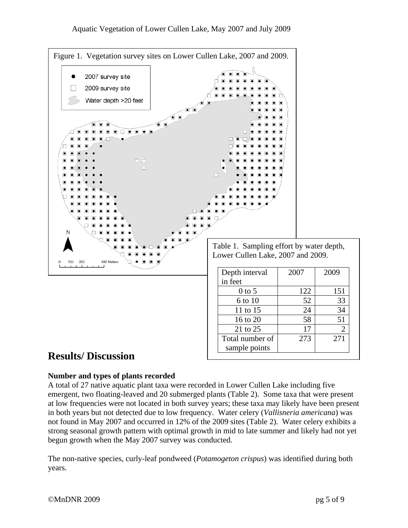

# **Results/ Discussion**

### **Number and types of plants recorded**

A total of 27 native aquatic plant taxa were recorded in Lower Cullen Lake including five emergent, two floating-leaved and 20 submerged plants (Table 2). Some taxa that were present at low frequencies were not located in both survey years; these taxa may likely have been present in both years but not detected due to low frequency. Water celery (*Vallisneria americana*) was not found in May 2007 and occurred in 12% of the 2009 sites (Table 2). Water celery exhibits a strong seasonal growth pattern with optimal growth in mid to late summer and likely had not yet begun growth when the May 2007 survey was conducted.

The non-native species, curly-leaf pondweed (*Potamogeton crispus*) was identified during both years.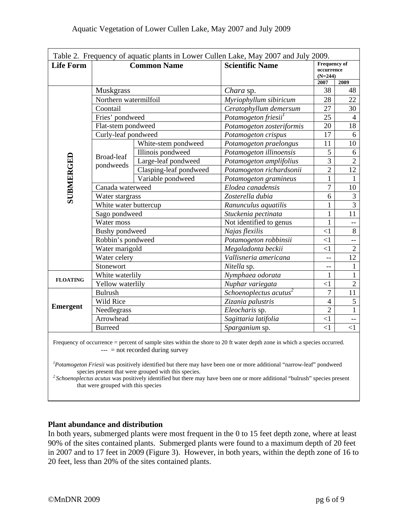| Table 2. Frequency of aquatic plants in Lower Cullen Lake, May 2007 and July 2009. |                         |                        |                                    |                                                |                |
|------------------------------------------------------------------------------------|-------------------------|------------------------|------------------------------------|------------------------------------------------|----------------|
| <b>Life Form</b>                                                                   | <b>Common Name</b>      |                        | <b>Scientific Name</b>             | <b>Frequency of</b><br>occurrence<br>$(N=244)$ |                |
|                                                                                    |                         |                        |                                    | 2007                                           | 2009           |
| SUBMERGED                                                                          | <b>Muskgrass</b>        |                        | Chara sp.                          | 38                                             | 48             |
|                                                                                    | Northern watermilfoil   |                        | Myriophyllum sibiricum             | 28                                             | 22             |
|                                                                                    | Coontail                |                        | Ceratophyllum demersum             | 27                                             | 30             |
|                                                                                    | Fries' pondweed         |                        | Potamogeton friesii <sup>1</sup>   | 25                                             | $\overline{4}$ |
|                                                                                    | Flat-stem pondweed      |                        | Potamogeton zosteriformis          | 20                                             | 18             |
|                                                                                    | Curly-leaf pondweed     |                        | Potamogeton crispus                | 17                                             | 6              |
|                                                                                    | Broad-leaf<br>pondweeds | White-stem pondweed    | Potamogeton praelongus             | 11                                             | 10             |
|                                                                                    |                         | Illinois pondweed      | Potamogeton illinoensis            | 5                                              | 6              |
|                                                                                    |                         | Large-leaf pondweed    | Potamogeton amplifolius            | 3                                              | $\overline{2}$ |
|                                                                                    |                         | Clasping-leaf pondweed | Potamogeton richardsonii           | $\overline{2}$                                 | 12             |
|                                                                                    |                         | Variable pondweed      | Potamogeton gramineus              | $\mathbf{1}$                                   | 1              |
|                                                                                    | Canada waterweed        |                        | Elodea canadensis                  | $\overline{7}$                                 | 10             |
|                                                                                    | Water stargrass         |                        | Zosterella dubia                   | 6                                              | $\overline{3}$ |
|                                                                                    | White water buttercup   |                        | Ranunculus aquatilis               | $\mathbf{1}$                                   | $\overline{3}$ |
|                                                                                    | Sago pondweed           |                        | Stuckenia pectinata                | $\mathbf{1}$                                   | 11             |
|                                                                                    | Water moss              |                        | Not identified to genus            | $\mathbf{1}$                                   | $-$            |
|                                                                                    | Bushy pondweed          |                        | Najas flexilis                     | $\leq$ 1                                       | 8              |
|                                                                                    | Robbin's pondweed       |                        | Potamogeton robbinsii              | $\leq$ 1                                       | $-$            |
|                                                                                    | Water marigold          |                        | Megaladonta beckii                 | $\leq$ 1                                       | $\overline{2}$ |
|                                                                                    | Water celery            |                        | Vallisneria americana              | Ц.,                                            | 12             |
|                                                                                    | Stonewort               |                        | Nitella sp.                        | $-$                                            | $\mathbf{1}$   |
| <b>FLOATING</b>                                                                    | White waterlily         |                        | Nymphaea odorata                   | $\mathbf{1}$                                   | $\mathbf{1}$   |
|                                                                                    | Yellow waterlily        |                        | Nuphar variegata                   | $\leq$ 1                                       | $\overline{2}$ |
| <b>Emergent</b>                                                                    | <b>Bulrush</b>          |                        | Schoenoplectus acutus <sup>2</sup> | $\overline{7}$                                 | 11             |
|                                                                                    | Wild Rice               |                        | Zizania palustris                  | $\overline{4}$                                 | 5              |
|                                                                                    | Needlegrass             |                        | Eleocharis sp.                     | $\overline{2}$                                 | $\mathbf{1}$   |
|                                                                                    | Arrowhead               |                        | Sagittaria latifolia               | $\leq$ 1                                       | $-$            |
|                                                                                    | <b>Burreed</b>          |                        | Sparganium sp.                     | $\leq$ 1                                       | $<$ 1          |
|                                                                                    |                         |                        |                                    |                                                |                |

Frequency of occurrence = percent of sample sites within the shore to 20 ft water depth zone in which a species occurred.  $---$  = not recorded during survey

*1 Potamogeton Friesii* was positively identified but there may have been one or more additional "narrow-leaf" pondweed species present that were grouped with this species. *2 Schoenoplectus acutus* was positively identified but there may have been one or more additional "bulrush" species present

that were grouped with this species

### **Plant abundance and distribution**

In both years, submerged plants were most frequent in the 0 to 15 feet depth zone, where at least 90% of the sites contained plants. Submerged plants were found to a maximum depth of 20 feet in 2007 and to 17 feet in 2009 (Figure 3). However, in both years, within the depth zone of 16 to 20 feet, less than 20% of the sites contained plants.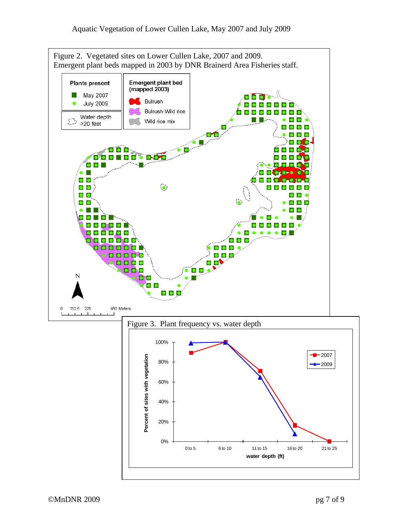

**water depth (ft)**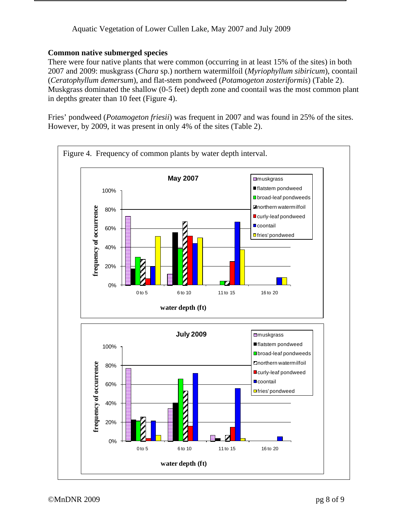### Aquatic Vegetation of Lower Cullen Lake, May 2007 and July 2009

### **Common native submerged species**

There were four native plants that were common (occurring in at least 15% of the sites) in both 2007 and 2009: muskgrass (*Chara* sp.) northern watermilfoil (*Myriophyllum sibiricum*), coontail (*Ceratophyllum demersum*), and flat-stem pondweed (*Potamogeton zosteriformis*) (Table 2). Muskgrass dominated the shallow (0-5 feet) depth zone and coontail was the most common plant in depths greater than 10 feet (Figure 4).

Fries' pondweed (*Potamogeton friesii*) was frequent in 2007 and was found in 25% of the sites. However, by 2009, it was present in only 4% of the sites (Table 2).